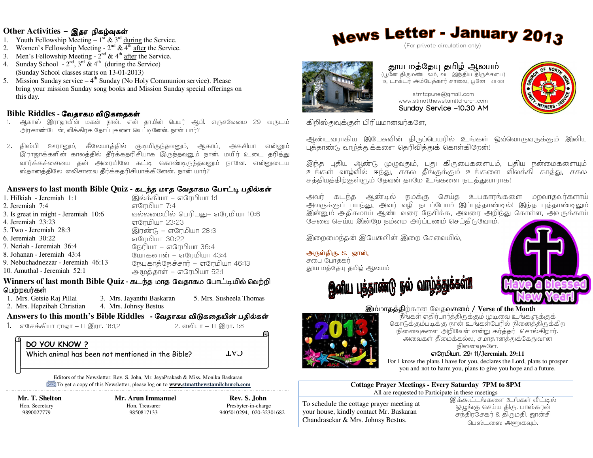### Other Activities - இதர நிகழ்வுகள்

- 1. Youth Fellowship Meeting  $1^{st}$  &  $3^{rd}$  during the Service.
- 
- 
- 2. Women's Fellowship Meeting  $-2^{nd}$  &  $4^{th}$  after the Service.<br>3. Men's Fellowship Meeting  $-2^{nd}$  &  $4^{th}$  after the Service.<br>4. Sunday School  $-2^{nd}$ ,  $3^{rd}$  &  $4^{th}$  (during the Service) (Sunday School classes starts on 13-01-2013)
- 5. Mission Sunday service  $-4$ <sup>th</sup> Sunday (No Holy Communion service). Please bring your mission Sunday song books and Mission Sunday special offerings on this day.

#### Bible Riddles - வேதாகம விடுகதைகள்

- ஆகாஸ் இராஜாவின் மகன் நான். என் தாயின் பெயர் ஆபி. எருசலேமை 29 வருடம் அரசாண்டேன், விக்கிரக தோப்புகளை வெட்டினேன். நான் யார்?
- 2. திஸ்பி ஊரானும், கீலேயாத்தில் குடியிருந்தவனும், ஆகாப், அகசியா என்னும் .<br>இராஜாக்களின் காலத்தில் தீர்க்கதரிசியாக இருந்தவனும் நான். மயிர் உடை தரித்து வார்க்கச்சையை கன் அரையிலே கட்டி கொண்டிருந்தவனும் நானே. என்னுடைய ஸ்தானத்திலே எலிசாவை தீர்க்கதரிசியாக்கினேன். நான் யார்?

#### Answers to last month Bible Quiz - கடந்த மாத வேதாகம போட்டி பதில்கள்

இலக்கியா – எரேமியா 1:1 1. Hilkiah - Jeremiah 1:1 எரேமியா 7:4 2. Jeremiah 7:4 வல்லமையில் பெரியது– எரேமியா 10:6 3. Is great in might - Jeremiah 10:6 4. Jeremiah 23:23 எரேமியா 23:23 5. Two - Jeremiah  $28:3$ இரண்டு – எரேமியா 28:3 6. Jeremiah  $30:22$ எரேமியா 30:22 7. Neriah - Jeremiah 36:4 நேரியா – எரேமியா 36:4 8. Johanan - Jeremiah 43:4 யோகனான் – எரேமியா 43:4 9 Nebuchadnezzar - Jeremiah 46.13 நேபுகாத்நேச்சார் – எரேமியா 46:13 10. Amuthal - Jeremiah 52:1 அமூத்தாள் – எரேமியா 52:1

#### ${\bf W}$ inners of last month  ${\bf Bible\, Quz}$  - கடந்த மாத வேதாகம போட்டியில் வெற்றி பெற்றவர்கள்

5. Mrs. Susheela Thomas 1. Mrs. Getsie Raj Pillai 3. Mrs. Jayanthi Baskaran 2. Mrs. Hepzibah Christian 4. Mrs. Johnsy Bestus

## Answers to this month's Bible Riddles - வேதாகம விடுகதையின் பதில்கள்

1. எசேக்கியா ராஜா – II இரா. 18:1,2

2. எலியா – II இரா. 1:8

**CAT** 

## DO YOU KNOW?

Which animal has been not mentioned in the Bible?

Editors of the Newsletter: Rev. S. John, Mr. JeyaPrakash & Miss. Monika Baskaran To get a copy of this Newsletter, please log on to **www.stmatthewstamilchurch.com** 

Mr. T. Shelton Hon. Secretary 9890027779

Mr. Arun Immanuel Hon. Treasurer 9850817133

Rev. S. John Presbyter-in-charge 9405010294, 020-32301682

# **News Letter - January 2013**

(For private circulation only)



## தூய மத்தேயு தமிழ் ஆலயம்

(பூனே திருமண்டலம், வட இந்திய திருச்சபை) .<br>19. டாக்டர் அம்பேத்கார் சாலை, பூனே – 411 001



stmtcpune@gmail.com www.stmatthewstamilchurch.com Sundav Service -10.30 AM

கிறிஸ்துவுக்குள் பிரியமானவர்களே,

ஆண்டவராகிய இயேசுவின் திருப்பெயரில் உங்கள் ஒவ்வொருவருக்கும் இனிய புத்தாண்டு வாழ்த்துக்களை தெரிவித்துக் கொள்கிறேன்!

இந்த புதிய ஆண்டு முழுவதும், புது கிருபைகளையும், புதிய நன்மைகளையும் உங்கள் வாழ்வில் ஈந்து, சகல தீங்குக்கும் உங்களை விலக்கி காத்து, சகல சத்தியத்திற்குள்ளும் தேவன் தாமே உங்களை நடத்துவாராக!

ஆண்டில் நமக்கு செய்த உபகாரங்களை மறவாதவர்களாய் அவர் அவருக்குப் பயந்து, அவர் வழி நடப்போம் இப்புத்தாண்டில்! இந்த புத்தாண்டிலும் இன்னும் அதிகமாய் ஆண்டவரை நேசிக்க, அவரை அறிந்து கொள்ள, அவருக்காய் ு .<br>சேவை செய்ய இன்றே நம்மை அரப்பணம் செய்திடுவோம்.

இறைமைந்தன் இயேசுவின் இறை சேவையில்,

அருள்திரு. S. ஜான், சபை போதகர் தூய மத்தேயு தமிழ் ஆலயம்







#### இம்மாதத்திற்கான வேதவசனம் / Verse of the Month

.<br>நீங்கள் எதிர்பார்த்திருக்கும் முடிவை உங்களுக்குக் கொடுக்கும்படிக்கு நான் உங்கள்பேரில் நினைத்திருக்கிற நினைவுகளை அறிவேன் என்று கர்த்தர் சொல்கிறார். அவைகள் தீமைக்கல்ல, சமாதானத்துக்கேதுவான நினைவகளே.

#### எரேமியா. 29: 11/Jeremiah. 29:11

For I know the plans I have for you, declares the Lord, plans to prosper you and not to harm you, plans to give you hope and a future.

| <b>Cottage Prayer Meetings - Every Saturday 7PM to 8PM</b> |
|------------------------------------------------------------|
| All are requested to Participate in these meetings         |

To schedule the cottage prayer meeting at your house, kindly contact Mr. Baskaran Chandrasekar & Mrs. Johnsy Bestus.

இக்கூட்டங்களை உங்கள் வீட்டில் ஒழுங்கு செய்ய திரு. பாஸ்கரன் சந்திரசேகர் & திருமதி. ஜான்சி பெஸ்டஸை அணுகவம்.